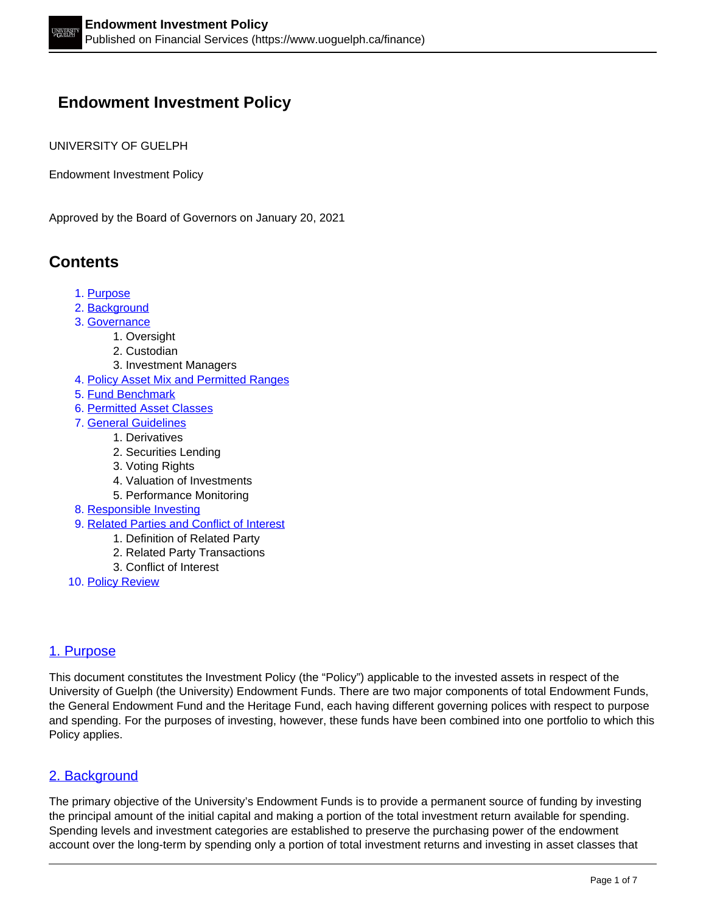# **Endowment Investment Policy**

UNIVERSITY OF GUELPH

Endowment Investment Policy

Approved by the Board of Governors on January 20, 2021

# **Contents**

- 1. Purpose
- 2. Background
- 3. Governance
	- 1. Oversight
		- 2. Custodian
	- 3. Investment Managers
- 4. Policy Asset Mix and Permitted Ranges
- 5. Fund Benchmark
- 6. Permitted Asset Classes
- 7. General Guidelines
	- 1. Derivatives
	- 2. Securities Lending
	- 3. Voting Rights
	- 4. Valuation of Investments
	- 5. Performance Monitoring
- 8. Responsible Investing
- 9. Related Parties and Conflict of Interest
	- 1. Definition of Related Party
	- 2. Related Party Transactions
	- 3. Conflict of Interest
- 10. Policy Review

# 1. Purpose

This document constitutes the Investment Policy (the "Policy") applicable to the invested assets in respect of the University of Guelph (the University) Endowment Funds. There are two major components of total Endowment Funds, the General Endowment Fund and the Heritage Fund, each having different governing polices with respect to purpose and spending. For the purposes of investing, however, these funds have been combined into one portfolio to which this Policy applies.

# 2. Background

The primary objective of the University's Endowment Funds is to provide a permanent source of funding by investing the principal amount of the initial capital and making a portion of the total investment return available for spending. Spending levels and investment categories are established to preserve the purchasing power of the endowment account over the long-term by spending only a portion of total investment returns and investing in asset classes that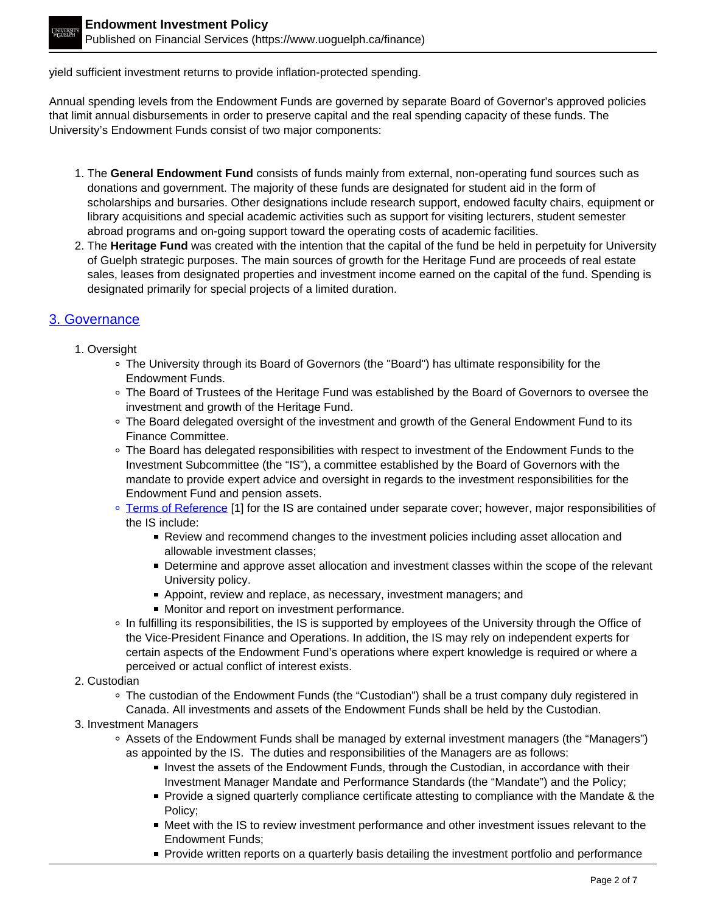yield sufficient investment returns to provide inflation-protected spending.

Annual spending levels from the Endowment Funds are governed by separate Board of Governor's approved policies that limit annual disbursements in order to preserve capital and the real spending capacity of these funds. The University's Endowment Funds consist of two major components:

- 1. The **General Endowment Fund** consists of funds mainly from external, non-operating fund sources such as donations and government. The majority of these funds are designated for student aid in the form of scholarships and bursaries. Other designations include research support, endowed faculty chairs, equipment or library acquisitions and special academic activities such as support for visiting lecturers, student semester abroad programs and on-going support toward the operating costs of academic facilities.
- 2. The **Heritage Fund** was created with the intention that the capital of the fund be held in perpetuity for University of Guelph strategic purposes. The main sources of growth for the Heritage Fund are proceeds of real estate sales, leases from designated properties and investment income earned on the capital of the fund. Spending is designated primarily for special projects of a limited duration.

# 3. Governance

- 1. Oversight
	- The University through its Board of Governors (the "Board") has ultimate responsibility for the Endowment Funds.
	- The Board of Trustees of the Heritage Fund was established by the Board of Governors to oversee the investment and growth of the Heritage Fund.
	- o The Board delegated oversight of the investment and growth of the General Endowment Fund to its Finance Committee.
	- The Board has delegated responsibilities with respect to investment of the Endowment Funds to the Investment Subcommittee (the "IS"), a committee established by the Board of Governors with the mandate to provide expert advice and oversight in regards to the investment responsibilities for the Endowment Fund and pension assets.
	- <sup>o</sup> Terms of Reference [1] for the IS are contained under separate cover; however, major responsibilities of the IS include:
		- Review and recommend changes to the investment policies including asset allocation and allowable investment classes;
		- **Determine and approve asset allocation and investment classes within the scope of the relevant** University policy.
		- **Appoint, review and replace, as necessary, investment managers; and**
		- **Monitor and report on investment performance.**
	- In fulfilling its responsibilities, the IS is supported by employees of the University through the Office of the Vice-President Finance and Operations. In addition, the IS may rely on independent experts for certain aspects of the Endowment Fund's operations where expert knowledge is required or where a perceived or actual conflict of interest exists.
- 2. Custodian

The custodian of the Endowment Funds (the "Custodian") shall be a trust company duly registered in Canada. All investments and assets of the Endowment Funds shall be held by the Custodian.

- 3. Investment Managers
	- Assets of the Endowment Funds shall be managed by external investment managers (the "Managers") as appointed by the IS. The duties and responsibilities of the Managers are as follows:
		- Invest the assets of the Endowment Funds, through the Custodian, in accordance with their Investment Manager Mandate and Performance Standards (the "Mandate") and the Policy;
		- **Provide a signed quarterly compliance certificate attesting to compliance with the Mandate & the** Policy;
		- **Meet with the IS to review investment performance and other investment issues relevant to the** Endowment Funds;
		- **Provide written reports on a quarterly basis detailing the investment portfolio and performance**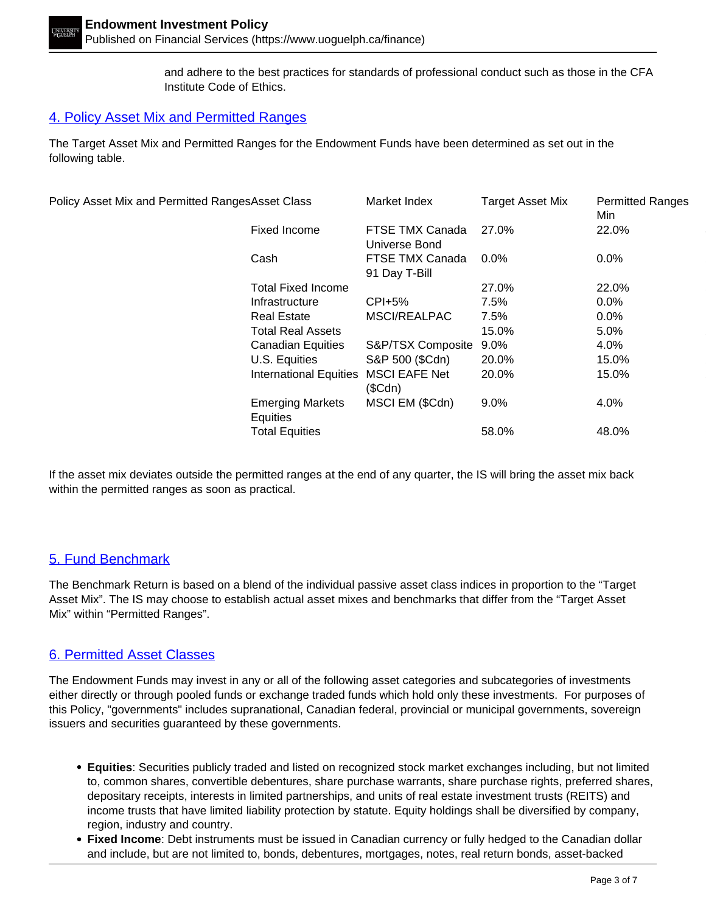and adhere to the best practices for standards of professional conduct such as those in the CFA Institute Code of Ethics.

#### 4. Policy Asset Mix and Permitted Ranges

The Target Asset Mix and Permitted Ranges for the Endowment Funds have been determined as set out in the following table.

| Policy Asset Mix and Permitted RangesAsset Class |                                     | Market Index                     | <b>Target Asset Mix</b> | <b>Permitted Ranges</b><br>Min |
|--------------------------------------------------|-------------------------------------|----------------------------------|-------------------------|--------------------------------|
|                                                  | Fixed Income                        | FTSE TMX Canada<br>Universe Bond | 27.0%                   | 22.0%                          |
|                                                  | Cash                                | FTSE TMX Canada<br>91 Day T-Bill | $0.0\%$                 | 0.0%                           |
|                                                  | <b>Total Fixed Income</b>           |                                  | 27.0%                   | 22.0%                          |
|                                                  | Infrastructure                      | $CPI+5%$                         | 7.5%                    | 0.0%                           |
|                                                  | <b>Real Estate</b>                  | MSCI/REALPAC                     | 7.5%                    | $0.0\%$                        |
|                                                  | <b>Total Real Assets</b>            |                                  | 15.0%                   | $5.0\%$                        |
|                                                  | <b>Canadian Equities</b>            | S&P/TSX Composite                | $9.0\%$                 | 4.0%                           |
|                                                  | U.S. Equities                       | S&P 500 (\$Cdn)                  | 20.0%                   | 15.0%                          |
|                                                  | <b>International Equities</b>       | <b>MSCI EAFE Net</b><br>(SCdn)   | 20.0%                   | 15.0%                          |
|                                                  | <b>Emerging Markets</b><br>Equities | MSCI EM (\$Cdn)                  | 9.0%                    | 4.0%                           |
|                                                  | <b>Total Equities</b>               |                                  | 58.0%                   | 48.0%                          |
|                                                  |                                     |                                  |                         |                                |

If the asset mix deviates outside the permitted ranges at the end of any quarter, the IS will bring the asset mix back within the permitted ranges as soon as practical.

#### 5. Fund Benchmark

The Benchmark Return is based on a blend of the individual passive asset class indices in proportion to the "Target Asset Mix". The IS may choose to establish actual asset mixes and benchmarks that differ from the "Target Asset Mix" within "Permitted Ranges".

#### 6. Permitted Asset Classes

The Endowment Funds may invest in any or all of the following asset categories and subcategories of investments either directly or through pooled funds or exchange traded funds which hold only these investments. For purposes of this Policy, "governments" includes supranational, Canadian federal, provincial or municipal governments, sovereign issuers and securities guaranteed by these governments.

- **Equities**: Securities publicly traded and listed on recognized stock market exchanges including, but not limited to, common shares, convertible debentures, share purchase warrants, share purchase rights, preferred shares, depositary receipts, interests in limited partnerships, and units of real estate investment trusts (REITS) and income trusts that have limited liability protection by statute. Equity holdings shall be diversified by company, region, industry and country.
- **Fixed Income**: Debt instruments must be issued in Canadian currency or fully hedged to the Canadian dollar and include, but are not limited to, bonds, debentures, mortgages, notes, real return bonds, asset-backed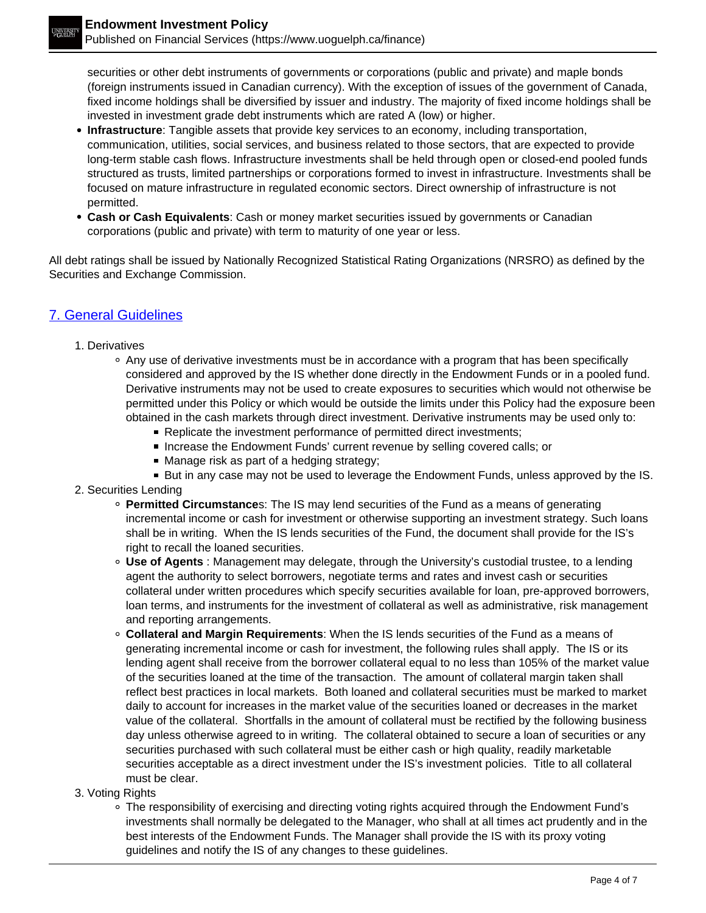securities or other debt instruments of governments or corporations (public and private) and maple bonds (foreign instruments issued in Canadian currency). With the exception of issues of the government of Canada, fixed income holdings shall be diversified by issuer and industry. The majority of fixed income holdings shall be invested in investment grade debt instruments which are rated A (low) or higher.

- **Infrastructure**: Tangible assets that provide key services to an economy, including transportation, communication, utilities, social services, and business related to those sectors, that are expected to provide long-term stable cash flows. Infrastructure investments shall be held through open or closed-end pooled funds structured as trusts, limited partnerships or corporations formed to invest in infrastructure. Investments shall be focused on mature infrastructure in regulated economic sectors. Direct ownership of infrastructure is not permitted.
- **Cash or Cash Equivalents**: Cash or money market securities issued by governments or Canadian corporations (public and private) with term to maturity of one year or less.

All debt ratings shall be issued by Nationally Recognized Statistical Rating Organizations (NRSRO) as defined by the Securities and Exchange Commission.

# 7. General Guidelines

#### 1. Derivatives

- Any use of derivative investments must be in accordance with a program that has been specifically considered and approved by the IS whether done directly in the Endowment Funds or in a pooled fund. Derivative instruments may not be used to create exposures to securities which would not otherwise be permitted under this Policy or which would be outside the limits under this Policy had the exposure been obtained in the cash markets through direct investment. Derivative instruments may be used only to:
	- Replicate the investment performance of permitted direct investments;
	- Increase the Endowment Funds' current revenue by selling covered calls; or
	- Manage risk as part of a hedging strategy;
	- But in any case may not be used to leverage the Endowment Funds, unless approved by the IS.
- 2. Securities Lending
	- **Permitted Circumstance**s: The IS may lend securities of the Fund as a means of generating incremental income or cash for investment or otherwise supporting an investment strategy. Such loans shall be in writing. When the IS lends securities of the Fund, the document shall provide for the IS's right to recall the loaned securities.
	- $\circ$ **Use of Agents** : Management may delegate, through the University's custodial trustee, to a lending agent the authority to select borrowers, negotiate terms and rates and invest cash or securities collateral under written procedures which specify securities available for loan, pre-approved borrowers, loan terms, and instruments for the investment of collateral as well as administrative, risk management and reporting arrangements.
	- $\circ$ **Collateral and Margin Requirements**: When the IS lends securities of the Fund as a means of generating incremental income or cash for investment, the following rules shall apply. The IS or its lending agent shall receive from the borrower collateral equal to no less than 105% of the market value of the securities loaned at the time of the transaction. The amount of collateral margin taken shall reflect best practices in local markets. Both loaned and collateral securities must be marked to market daily to account for increases in the market value of the securities loaned or decreases in the market value of the collateral. Shortfalls in the amount of collateral must be rectified by the following business day unless otherwise agreed to in writing. The collateral obtained to secure a loan of securities or any securities purchased with such collateral must be either cash or high quality, readily marketable securities acceptable as a direct investment under the IS's investment policies. Title to all collateral must be clear.
- 3. Voting Rights
	- The responsibility of exercising and directing voting rights acquired through the Endowment Fund's investments shall normally be delegated to the Manager, who shall at all times act prudently and in the best interests of the Endowment Funds. The Manager shall provide the IS with its proxy voting guidelines and notify the IS of any changes to these guidelines.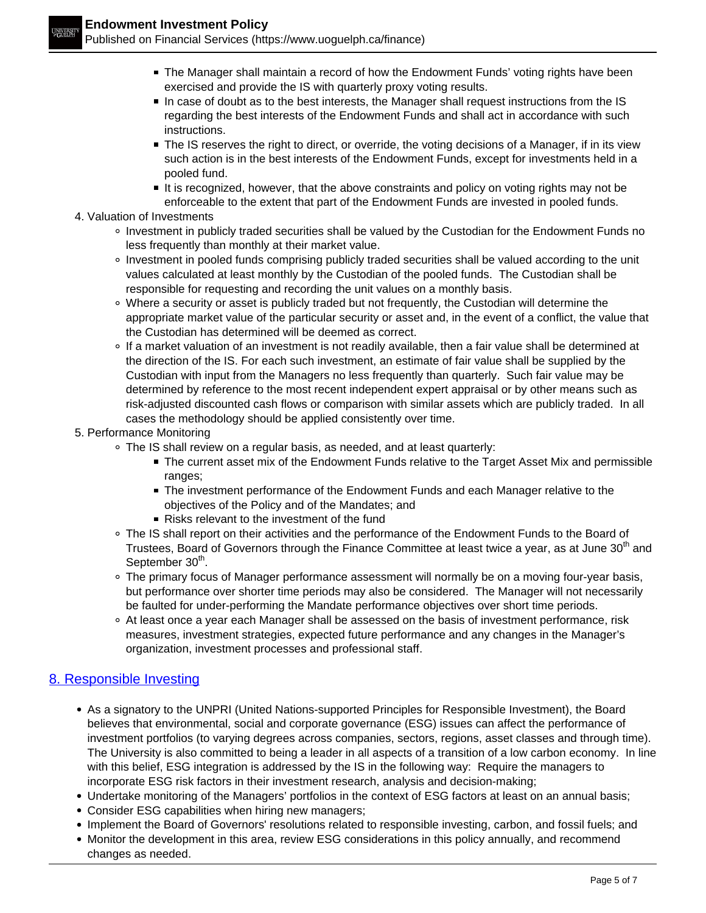- The Manager shall maintain a record of how the Endowment Funds' voting rights have been exercised and provide the IS with quarterly proxy voting results.
- In case of doubt as to the best interests, the Manager shall request instructions from the IS regarding the best interests of the Endowment Funds and shall act in accordance with such instructions.
- The IS reserves the right to direct, or override, the voting decisions of a Manager, if in its view such action is in the best interests of the Endowment Funds, except for investments held in a pooled fund.
- It is recognized, however, that the above constraints and policy on voting rights may not be enforceable to the extent that part of the Endowment Funds are invested in pooled funds.
- 4. Valuation of Investments
	- Investment in publicly traded securities shall be valued by the Custodian for the Endowment Funds no less frequently than monthly at their market value.
	- o Investment in pooled funds comprising publicly traded securities shall be valued according to the unit values calculated at least monthly by the Custodian of the pooled funds. The Custodian shall be responsible for requesting and recording the unit values on a monthly basis.
	- Where a security or asset is publicly traded but not frequently, the Custodian will determine the appropriate market value of the particular security or asset and, in the event of a conflict, the value that the Custodian has determined will be deemed as correct.
	- If a market valuation of an investment is not readily available, then a fair value shall be determined at the direction of the IS. For each such investment, an estimate of fair value shall be supplied by the Custodian with input from the Managers no less frequently than quarterly. Such fair value may be determined by reference to the most recent independent expert appraisal or by other means such as risk-adjusted discounted cash flows or comparison with similar assets which are publicly traded. In all cases the methodology should be applied consistently over time.
- 5. Performance Monitoring
	- The IS shall review on a regular basis, as needed, and at least quarterly:
		- The current asset mix of the Endowment Funds relative to the Target Asset Mix and permissible ranges;
		- The investment performance of the Endowment Funds and each Manager relative to the objectives of the Policy and of the Mandates; and
		- Risks relevant to the investment of the fund
	- The IS shall report on their activities and the performance of the Endowment Funds to the Board of Trustees, Board of Governors through the Finance Committee at least twice a year, as at June 30<sup>th</sup> and September 30<sup>th</sup>.
	- The primary focus of Manager performance assessment will normally be on a moving four-year basis, but performance over shorter time periods may also be considered. The Manager will not necessarily be faulted for under-performing the Mandate performance objectives over short time periods.
	- At least once a year each Manager shall be assessed on the basis of investment performance, risk measures, investment strategies, expected future performance and any changes in the Manager's organization, investment processes and professional staff.

# 8. Responsible Investing

- As a signatory to the UNPRI (United Nations-supported Principles for Responsible Investment), the Board believes that environmental, social and corporate governance (ESG) issues can affect the performance of investment portfolios (to varying degrees across companies, sectors, regions, asset classes and through time). The University is also committed to being a leader in all aspects of a transition of a low carbon economy. In line with this belief, ESG integration is addressed by the IS in the following way: Require the managers to incorporate ESG risk factors in their investment research, analysis and decision-making;
- Undertake monitoring of the Managers' portfolios in the context of ESG factors at least on an annual basis;
- Consider ESG capabilities when hiring new managers;
- Implement the Board of Governors' resolutions related to responsible investing, carbon, and fossil fuels; and
- Monitor the development in this area, review ESG considerations in this policy annually, and recommend changes as needed.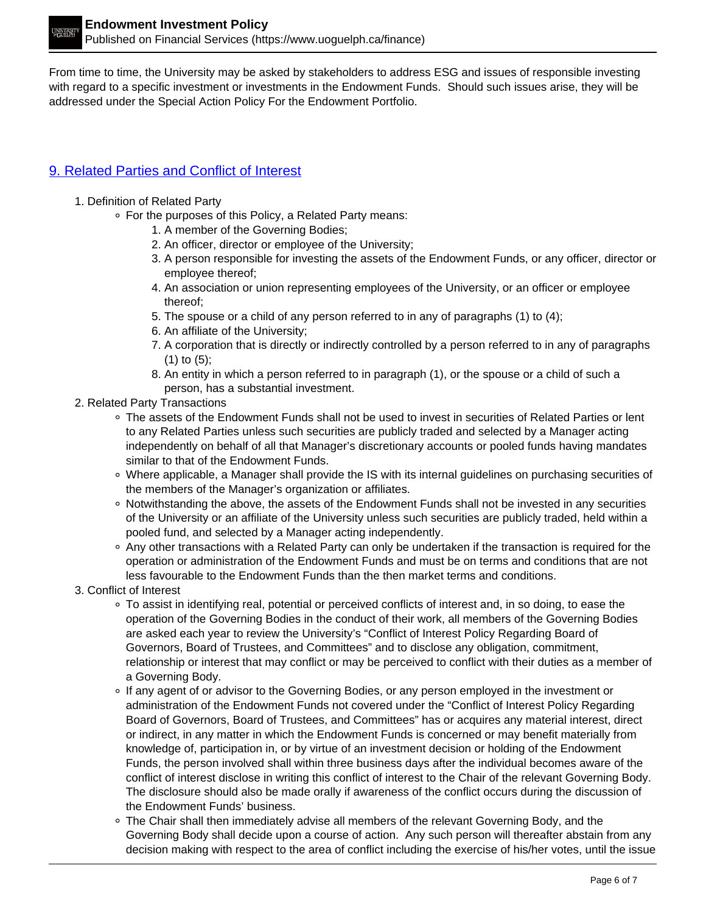From time to time, the University may be asked by stakeholders to address ESG and issues of responsible investing with regard to a specific investment or investments in the Endowment Funds. Should such issues arise, they will be addressed under the Special Action Policy For the Endowment Portfolio.

# 9. Related Parties and Conflict of Interest

- 1. Definition of Related Party
	- For the purposes of this Policy, a Related Party means:
		- 1. A member of the Governing Bodies;
		- 2. An officer, director or employee of the University;
		- 3. A person responsible for investing the assets of the Endowment Funds, or any officer, director or employee thereof;
		- 4. An association or union representing employees of the University, or an officer or employee thereof;
		- 5. The spouse or a child of any person referred to in any of paragraphs (1) to (4);
		- 6. An affiliate of the University;
		- 7. A corporation that is directly or indirectly controlled by a person referred to in any of paragraphs (1) to (5);
		- 8. An entity in which a person referred to in paragraph (1), or the spouse or a child of such a person, has a substantial investment.
- 2. Related Party Transactions
	- The assets of the Endowment Funds shall not be used to invest in securities of Related Parties or lent to any Related Parties unless such securities are publicly traded and selected by a Manager acting independently on behalf of all that Manager's discretionary accounts or pooled funds having mandates similar to that of the Endowment Funds.
	- Where applicable, a Manager shall provide the IS with its internal guidelines on purchasing securities of the members of the Manager's organization or affiliates.
	- Notwithstanding the above, the assets of the Endowment Funds shall not be invested in any securities of the University or an affiliate of the University unless such securities are publicly traded, held within a pooled fund, and selected by a Manager acting independently.
	- Any other transactions with a Related Party can only be undertaken if the transaction is required for the operation or administration of the Endowment Funds and must be on terms and conditions that are not less favourable to the Endowment Funds than the then market terms and conditions.
- 3. Conflict of Interest
	- To assist in identifying real, potential or perceived conflicts of interest and, in so doing, to ease the operation of the Governing Bodies in the conduct of their work, all members of the Governing Bodies are asked each year to review the University's "Conflict of Interest Policy Regarding Board of Governors, Board of Trustees, and Committees" and to disclose any obligation, commitment, relationship or interest that may conflict or may be perceived to conflict with their duties as a member of a Governing Body.
	- If any agent of or advisor to the Governing Bodies, or any person employed in the investment or administration of the Endowment Funds not covered under the "Conflict of Interest Policy Regarding Board of Governors, Board of Trustees, and Committees" has or acquires any material interest, direct or indirect, in any matter in which the Endowment Funds is concerned or may benefit materially from knowledge of, participation in, or by virtue of an investment decision or holding of the Endowment Funds, the person involved shall within three business days after the individual becomes aware of the conflict of interest disclose in writing this conflict of interest to the Chair of the relevant Governing Body. The disclosure should also be made orally if awareness of the conflict occurs during the discussion of the Endowment Funds' business.
	- The Chair shall then immediately advise all members of the relevant Governing Body, and the Governing Body shall decide upon a course of action. Any such person will thereafter abstain from any decision making with respect to the area of conflict including the exercise of his/her votes, until the issue